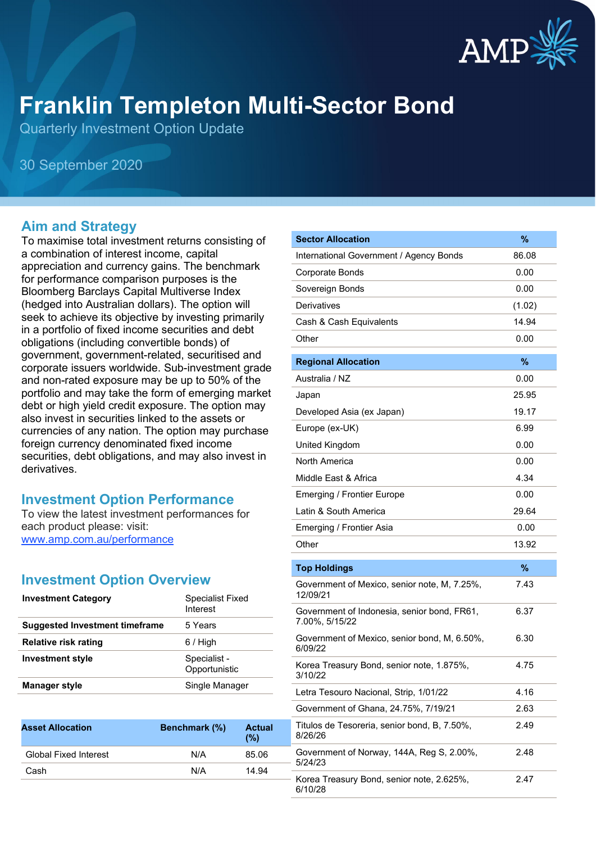

# **Franklin Templeton Multi-Sector Bond**

Quarterly Investment Option Update

30 September 2020

#### **Aim and Strategy**

To maximise total investment returns consisting of a combination of interest income, capital appreciation and currency gains. The benchmark for performance comparison purposes is the Bloomberg Barclays Capital Multiverse Index (hedged into Australian dollars). The option will seek to achieve its objective by investing primarily in a portfolio of fixed income securities and debt obligations (including convertible bonds) of government, government-related, securitised and corporate issuers worldwide. Sub-investment grade and non-rated exposure may be up to 50% of the portfolio and may take the form of emerging market debt or high yield credit exposure. The option may also invest in securities linked to the assets or currencies of any nation. The option may purchase foreign currency denominated fixed income securities, debt obligations, and may also invest in derivatives.

#### **Investment Option Performance**

To view the latest investment performances for each product please: visit: [www.amp.com.au/performance](https://www.amp.com.au/performance)

## **Investment Option Overview**

| <b>Investment Category</b>            | Specialist Fixed<br>Interest  |
|---------------------------------------|-------------------------------|
| <b>Suggested Investment timeframe</b> | 5 Years                       |
| Relative risk rating                  | $6/$ High                     |
| <b>Investment style</b>               | Specialist -<br>Opportunistic |
| <b>Manager style</b>                  | Single Manager                |

| <b>Asset Allocation</b>      | Benchmark (%) | <b>Actual</b><br>(%) |
|------------------------------|---------------|----------------------|
| <b>Global Fixed Interest</b> | N/A           | 85.06                |
| Cash                         | N/A           | 14.94                |
|                              |               |                      |

| <b>Sector Allocation</b>                                      | %      |
|---------------------------------------------------------------|--------|
| International Government / Agency Bonds                       | 86.08  |
| Corporate Bonds                                               | 0.00   |
| Sovereign Bonds                                               | 0.00   |
| Derivatives                                                   | (1.02) |
| Cash & Cash Equivalents                                       | 14.94  |
| Other                                                         | 0.00   |
| <b>Regional Allocation</b>                                    | %      |
| Australia / NZ                                                | 0.00   |
| Japan                                                         | 25.95  |
| Developed Asia (ex Japan)                                     | 19.17  |
| Europe (ex-UK)                                                | 6.99   |
| United Kingdom                                                | 0.00   |
| North America                                                 | 0.00   |
| Middle East & Africa                                          | 4.34   |
| Emerging / Frontier Europe                                    | 0.00   |
| Latin & South America                                         | 29.64  |
| Emerging / Frontier Asia                                      | 0.00   |
| Other                                                         | 13.92  |
| <b>Top Holdings</b>                                           | $\%$   |
| Government of Mexico, senior note, M, 7.25%,<br>12/09/21      | 7.43   |
| Government of Indonesia, senior bond, FR61,<br>7.00%, 5/15/22 | 6.37   |
| Government of Mexico, senior bond, M, 6.50%,<br>6/09/22       | 6.30   |
| Korea Treasury Bond, senior note, 1.875%,<br>3/10/22          | 4.75   |
| Letra Tesouro Nacional, Strip, 1/01/22                        | 4.16   |
| Government of Ghana, 24.75%, 7/19/21                          | 2.63   |
| Titulos de Tesoreria, senior bond, B, 7.50%,<br>8/26/26       | 2.49   |
| Government of Norway, 144A, Reg S, 2.00%,<br>5/24/23          | 2.48   |
| Korea Treasury Bond, senior note, 2.625%,<br>6/10/28          | 2.47   |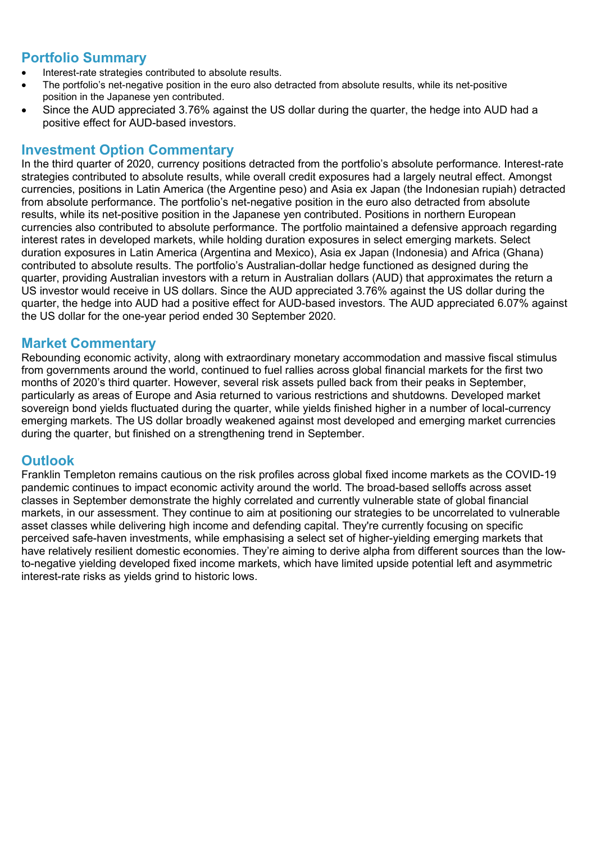## **Portfolio Summary**

- Interest-rate strategies contributed to absolute results.
- The portfolio's net-negative position in the euro also detracted from absolute results, while its net-positive position in the Japanese yen contributed.
- Since the AUD appreciated 3.76% against the US dollar during the quarter, the hedge into AUD had a positive effect for AUD-based investors.

### **Investment Option Commentary**

In the third quarter of 2020, currency positions detracted from the portfolio's absolute performance. Interest-rate strategies contributed to absolute results, while overall credit exposures had a largely neutral effect. Amongst currencies, positions in Latin America (the Argentine peso) and Asia ex Japan (the Indonesian rupiah) detracted from absolute performance. The portfolio's net-negative position in the euro also detracted from absolute results, while its net-positive position in the Japanese yen contributed. Positions in northern European currencies also contributed to absolute performance. The portfolio maintained a defensive approach regarding interest rates in developed markets, while holding duration exposures in select emerging markets. Select duration exposures in Latin America (Argentina and Mexico), Asia ex Japan (Indonesia) and Africa (Ghana) contributed to absolute results. The portfolio's Australian-dollar hedge functioned as designed during the quarter, providing Australian investors with a return in Australian dollars (AUD) that approximates the return a US investor would receive in US dollars. Since the AUD appreciated 3.76% against the US dollar during the quarter, the hedge into AUD had a positive effect for AUD-based investors. The AUD appreciated 6.07% against the US dollar for the one-year period ended 30 September 2020.

#### **Market Commentary**

Rebounding economic activity, along with extraordinary monetary accommodation and massive fiscal stimulus from governments around the world, continued to fuel rallies across global financial markets for the first two months of 2020's third quarter. However, several risk assets pulled back from their peaks in September, particularly as areas of Europe and Asia returned to various restrictions and shutdowns. Developed market sovereign bond yields fluctuated during the quarter, while yields finished higher in a number of local-currency emerging markets. The US dollar broadly weakened against most developed and emerging market currencies during the quarter, but finished on a strengthening trend in September.

#### **Outlook**

Franklin Templeton remains cautious on the risk profiles across global fixed income markets as the COVID-19 pandemic continues to impact economic activity around the world. The broad-based selloffs across asset classes in September demonstrate the highly correlated and currently vulnerable state of global financial markets, in our assessment. They continue to aim at positioning our strategies to be uncorrelated to vulnerable asset classes while delivering high income and defending capital. They're currently focusing on specific perceived safe-haven investments, while emphasising a select set of higher-yielding emerging markets that have relatively resilient domestic economies. They're aiming to derive alpha from different sources than the lowto-negative yielding developed fixed income markets, which have limited upside potential left and asymmetric interest-rate risks as yields grind to historic lows.